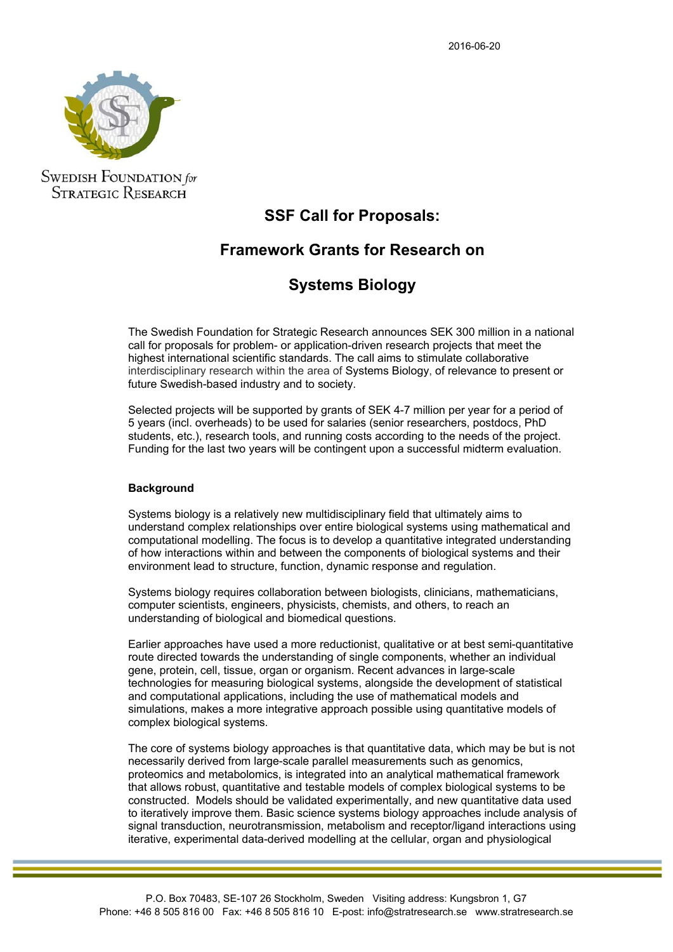

**SWEDISH FOUNDATION** for **STRATEGIC RESEARCH** 

## **SSF Call for Proposals:**

# **Framework Grants for Research on**

## **Systems Biology**

The Swedish Foundation for Strategic Research announces SEK 300 million in a national call for proposals for problem- or application-driven research projects that meet the highest international scientific standards. The call aims to stimulate collaborative interdisciplinary research within the area of Systems Biology, of relevance to present or future Swedish-based industry and to society.

Selected projects will be supported by grants of SEK 4-7 million per year for a period of 5 years (incl. overheads) to be used for salaries (senior researchers, postdocs, PhD students, etc.), research tools, and running costs according to the needs of the project. Funding for the last two years will be contingent upon a successful midterm evaluation.

### **Background**

Systems biology is a relatively new multidisciplinary field that ultimately aims to understand complex relationships over entire biological systems using mathematical and computational modelling. The focus is to develop a quantitative integrated understanding of how interactions within and between the components of biological systems and their environment lead to structure, function, dynamic response and regulation.

Systems biology requires collaboration between biologists, clinicians, mathematicians, computer scientists, engineers, physicists, chemists, and others, to reach an understanding of biological and biomedical questions.

Earlier approaches have used a more reductionist, qualitative or at best semi-quantitative route directed towards the understanding of single components, whether an individual gene, protein, cell, tissue, organ or organism. Recent advances in large-scale technologies for measuring biological systems, alongside the development of statistical and computational applications, including the use of mathematical models and simulations, makes a more integrative approach possible using quantitative models of complex biological systems.

The core of systems biology approaches is that quantitative data, which may be but is not necessarily derived from large-scale parallel measurements such as genomics, proteomics and metabolomics, is integrated into an analytical mathematical framework that allows robust, quantitative and testable models of complex biological systems to be constructed. Models should be validated experimentally, and new quantitative data used to iteratively improve them. Basic science systems biology approaches include analysis of signal transduction, neurotransmission, metabolism and receptor/ligand interactions using iterative, experimental data-derived modelling at the cellular, organ and physiological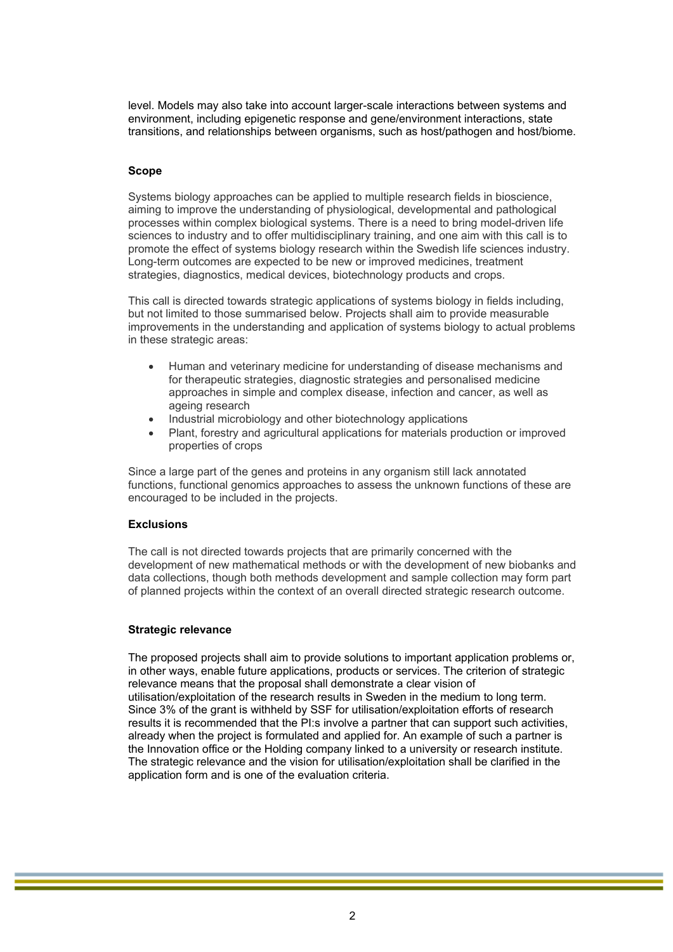level. Models may also take into account larger-scale interactions between systems and environment, including epigenetic response and gene/environment interactions, state transitions, and relationships between organisms, such as host/pathogen and host/biome.

### **Scope**

Systems biology approaches can be applied to multiple research fields in bioscience, aiming to improve the understanding of physiological, developmental and pathological processes within complex biological systems. There is a need to bring model-driven life sciences to industry and to offer multidisciplinary training, and one aim with this call is to promote the effect of systems biology research within the Swedish life sciences industry. Long-term outcomes are expected to be new or improved medicines, treatment strategies, diagnostics, medical devices, biotechnology products and crops.

This call is directed towards strategic applications of systems biology in fields including, but not limited to those summarised below. Projects shall aim to provide measurable improvements in the understanding and application of systems biology to actual problems in these strategic areas:

- Human and veterinary medicine for understanding of disease mechanisms and for therapeutic strategies, diagnostic strategies and personalised medicine approaches in simple and complex disease, infection and cancer, as well as ageing research
- Industrial microbiology and other biotechnology applications
- Plant, forestry and agricultural applications for materials production or improved properties of crops

Since a large part of the genes and proteins in any organism still lack annotated functions, functional genomics approaches to assess the unknown functions of these are encouraged to be included in the projects.

### **Exclusions**

The call is not directed towards projects that are primarily concerned with the development of new mathematical methods or with the development of new biobanks and data collections, though both methods development and sample collection may form part of planned projects within the context of an overall directed strategic research outcome.

### **Strategic relevance**

The proposed projects shall aim to provide solutions to important application problems or, in other ways, enable future applications, products or services. The criterion of strategic relevance means that the proposal shall demonstrate a clear vision of utilisation/exploitation of the research results in Sweden in the medium to long term. Since 3% of the grant is withheld by SSF for utilisation/exploitation efforts of research results it is recommended that the PI:s involve a partner that can support such activities, already when the project is formulated and applied for. An example of such a partner is the Innovation office or the Holding company linked to a university or research institute. The strategic relevance and the vision for utilisation/exploitation shall be clarified in the application form and is one of the evaluation criteria.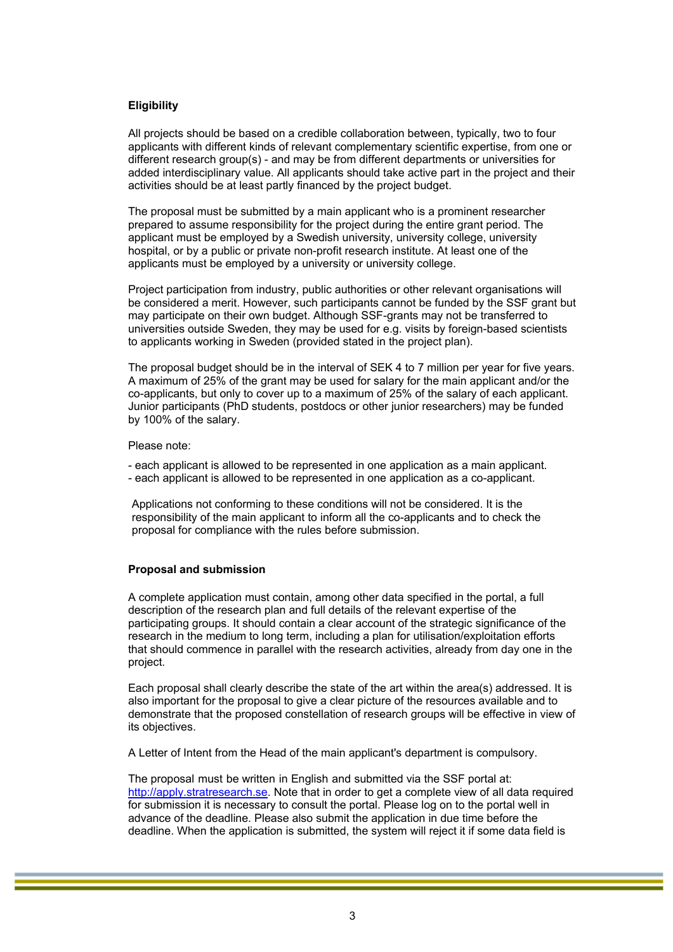## **Eligibility**

All projects should be based on a credible collaboration between, typically, two to four applicants with different kinds of relevant complementary scientific expertise, from one or different research group(s) - and may be from different departments or universities for added interdisciplinary value. All applicants should take active part in the project and their activities should be at least partly financed by the project budget.

The proposal must be submitted by a main applicant who is a prominent researcher prepared to assume responsibility for the project during the entire grant period. The applicant must be employed by a Swedish university, university college, university hospital, or by a public or private non-profit research institute. At least one of the applicants must be employed by a university or university college.

Project participation from industry, public authorities or other relevant organisations will be considered a merit. However, such participants cannot be funded by the SSF grant but may participate on their own budget. Although SSF-grants may not be transferred to universities outside Sweden, they may be used for e.g. visits by foreign-based scientists to applicants working in Sweden (provided stated in the project plan).

The proposal budget should be in the interval of SEK 4 to 7 million per year for five years. A maximum of 25% of the grant may be used for salary for the main applicant and/or the co-applicants, but only to cover up to a maximum of 25% of the salary of each applicant. Junior participants (PhD students, postdocs or other junior researchers) may be funded by 100% of the salary.

#### Please note:

- each applicant is allowed to be represented in one application as a main applicant.
- each applicant is allowed to be represented in one application as a co-applicant.

Applications not conforming to these conditions will not be considered. It is the responsibility of the main applicant to inform all the co-applicants and to check the proposal for compliance with the rules before submission.

#### **Proposal and submission**

A complete application must contain, among other data specified in the portal, a full description of the research plan and full details of the relevant expertise of the participating groups. It should contain a clear account of the strategic significance of the research in the medium to long term, including a plan for utilisation/exploitation efforts that should commence in parallel with the research activities, already from day one in the project.

Each proposal shall clearly describe the state of the art within the area(s) addressed. It is also important for the proposal to give a clear picture of the resources available and to demonstrate that the proposed constellation of research groups will be effective in view of its objectives.

A Letter of Intent from the Head of the main applicant's department is compulsory.

The proposal must be written in English and submitted via the SSF portal at: http://apply.stratresearch.se. Note that in order to get a complete view of all data required for submission it is necessary to consult the portal. Please log on to the portal well in advance of the deadline. Please also submit the application in due time before the deadline. When the application is submitted, the system will reject it if some data field is